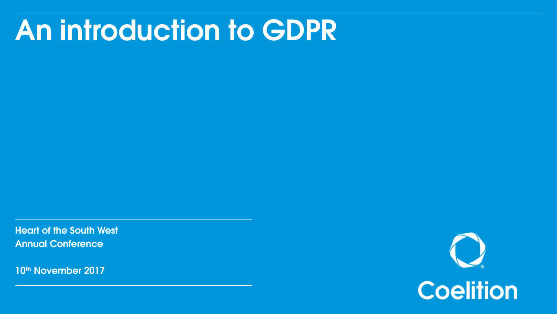### An introduction to GDPR

Heart of the South West Annual Conference

10<sup>th</sup> November 2017

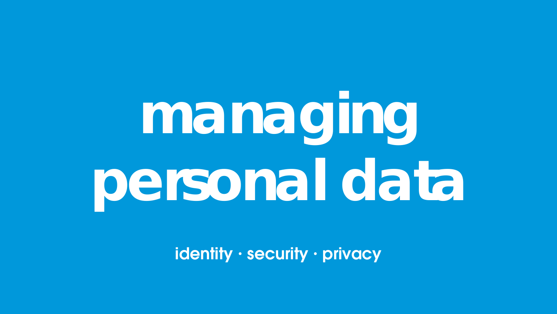## managing personal data

identity · security · privacy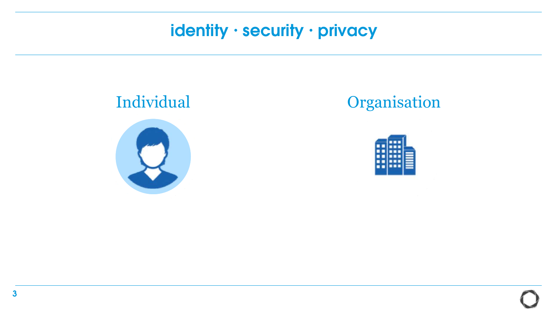

#### Individual **Organisation**

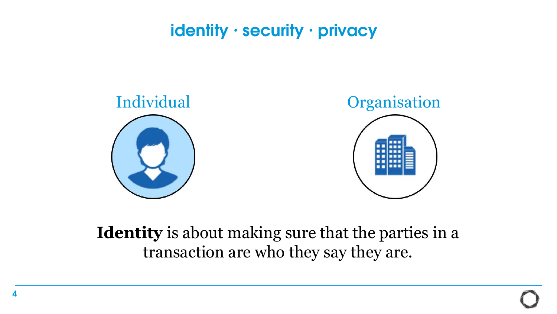

#### **Identity** is about making sure that the parties in a transaction are who they say they are.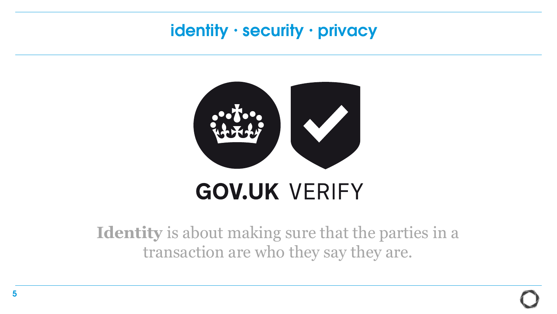

### **GOV.UK VERIFY**

**Identity** is about making sure that the parties in a transaction are who they say they are.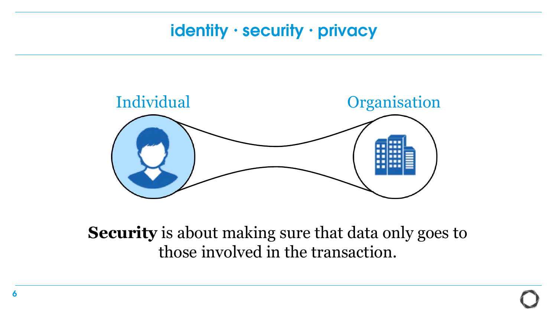

**Security** is about making sure that data only goes to those involved in the transaction.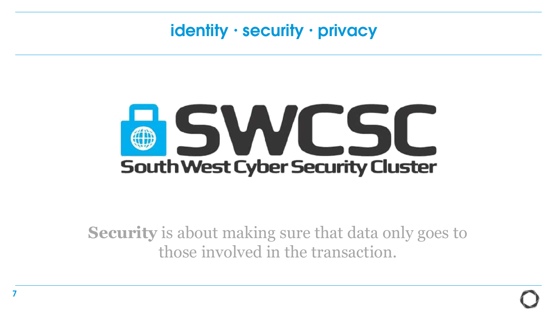## ISWL 5 **South West Cyber Security Cluster**

**Security** is about making sure that data only goes to those involved in the transaction.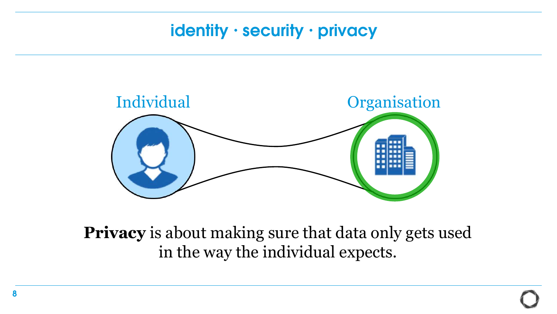

**Privacy** is about making sure that data only gets used in the way the individual expects.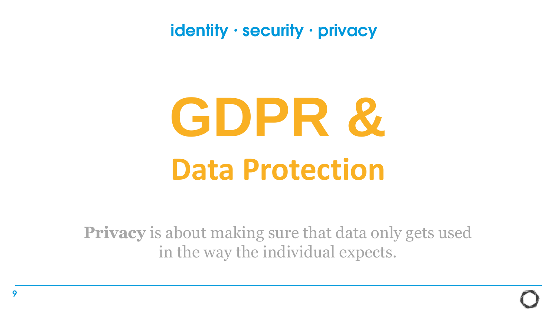## **GDPR & Data Protection**

**Privacy** is about making sure that data only gets used in the way the individual expects.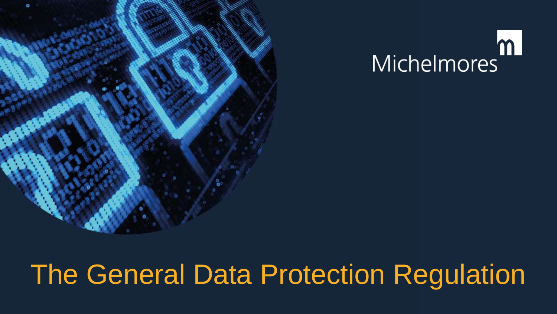



### The General Data Protection Regulation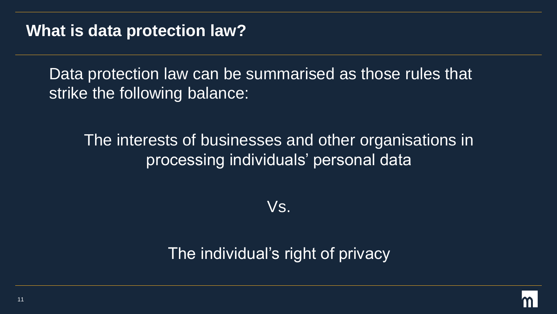#### **What is data protection law?**

Data protection law can be summarised as those rules that strike the following balance:

#### The interests of businesses and other organisations in processing individuals' personal data

Vs.

#### The individual's right of privacy

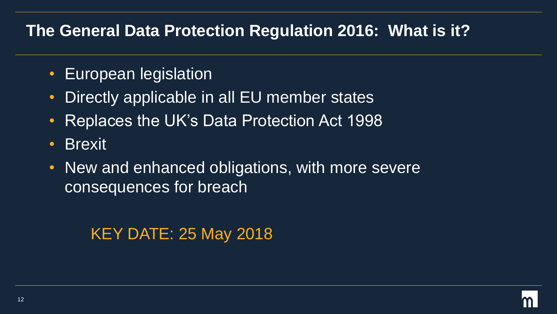#### **The General Data Protection Regulation 2016: What is it?**

- European legislation
- Directly applicable in all EU member states
- Replaces the UK's Data Protection Act 1998
- Brexit
- New and enhanced obligations, with more severe consequences for breach

KEY DATE: 25 May 2018

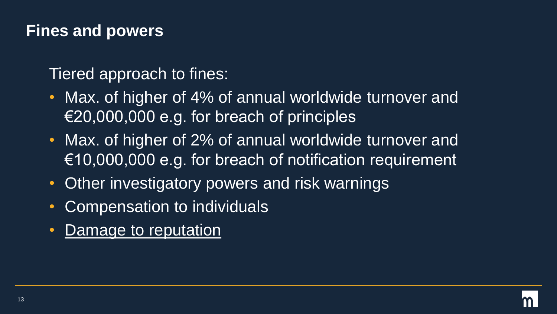#### **Fines and powers**

Tiered approach to fines:

- Max. of higher of 4% of annual worldwide turnover and  $\epsilon$ 20,000,000 e.g. for breach of principles
- Max. of higher of 2% of annual worldwide turnover and  $\epsilon$ 10,000,000 e.g. for breach of notification requirement
- Other investigatory powers and risk warnings
- **Compensation to individuals**
- Damage to reputation

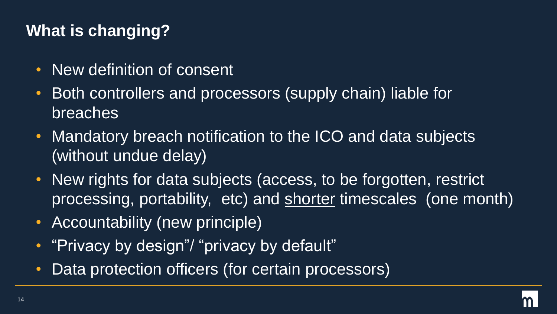### **What is changing?**

- New definition of consent
- Both controllers and processors (supply chain) liable for breaches
- Mandatory breach notification to the ICO and data subjects (without undue delay)
- New rights for data subjects (access, to be forgotten, restrict processing, portability, etc) and shorter timescales (one month)
- Accountability (new principle)
- "Privacy by design"/ "privacy by default"
- Data protection officers (for certain processors)

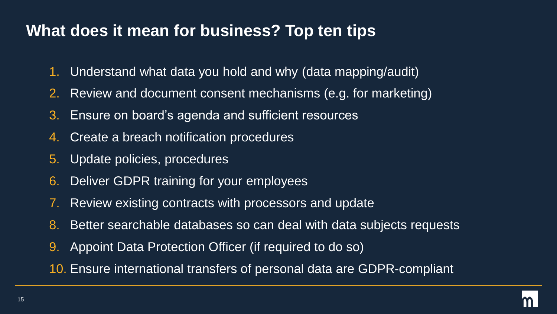#### **What does it mean for business? Top ten tips**

- 1. Understand what data you hold and why (data mapping/audit)
- 2. Review and document consent mechanisms (e.g. for marketing)
- 3. Ensure on board's agenda and sufficient resources
- 4. Create a breach notification procedures
- 5. Update policies, procedures
- 6. Deliver GDPR training for your employees
- 7. Review existing contracts with processors and update
- 8. Better searchable databases so can deal with data subjects requests
- 9. Appoint Data Protection Officer (if required to do so)
- 10. Ensure international transfers of personal data are GDPR-compliant

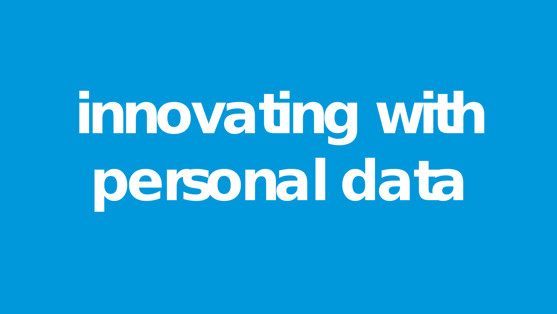## innovating with personal data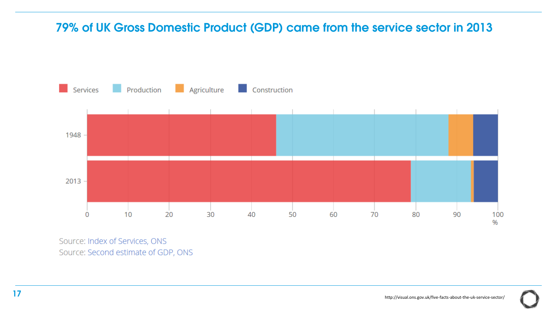#### 79% of UK Gross Domestic Product (GDP) came from the service sector in 2013



Source: Index of Services, ONS Source: Second estimate of GDP, ONS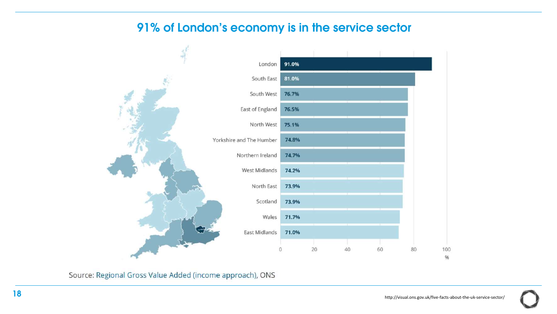#### 91% of London's economy is in the service sector



Source: Regional Gross Value Added (income approach), ONS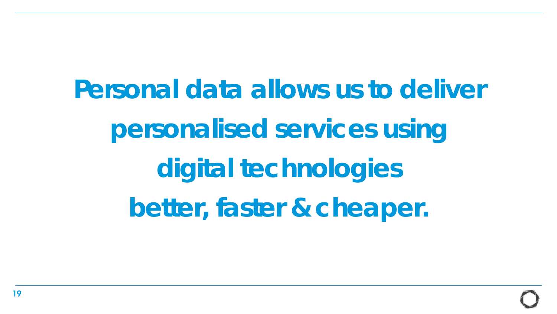Personal data allows us to deliver personalised services using digital technologies better, faster & cheaper.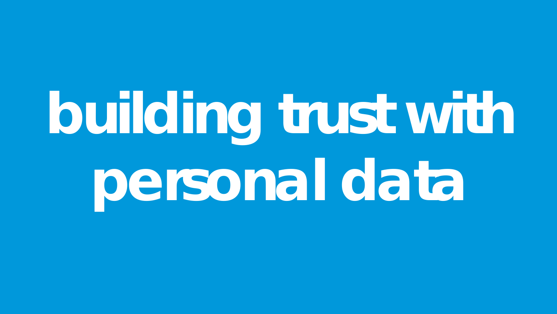## building trust with personal data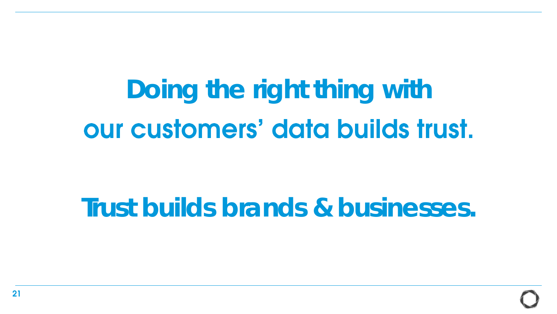## Doing the right thing with our customers' data builds trust.

### Trust builds brands & businesses.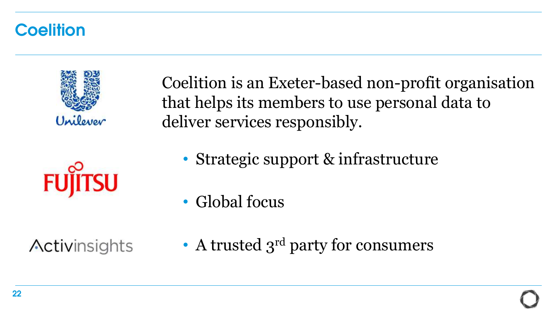#### **Coelition**



Coelition is an Exeter-based non-profit organisation that helps its members to use personal data to deliver services responsibly.

- Strategic support & infrastructure
- Global focus

Activinsights

• A trusted  $3^{\text{rd}}$  party for consumers

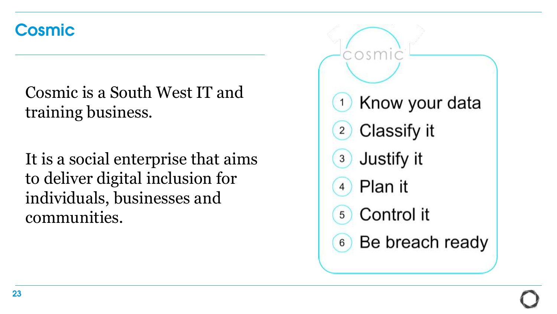#### **Cosmic**

Cosmic is a South West IT and training business.

It is a social enterprise that aims to deliver digital inclusion for individuals, businesses and communities.

Know your data Classify it  $\overline{2}$ Justify it  $\mathbf{3}$ Plan it  $\overline{4}$ Control it  $5<sup>1</sup>$ Be breach ready  $6$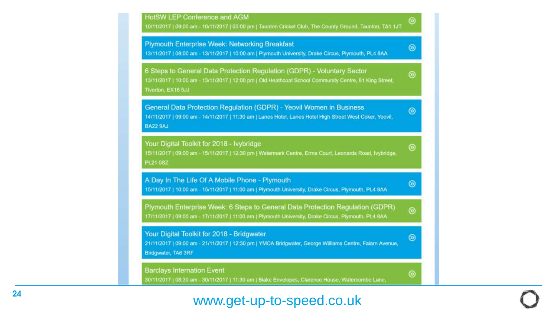

#### www.get -up -to -speed.co.uk